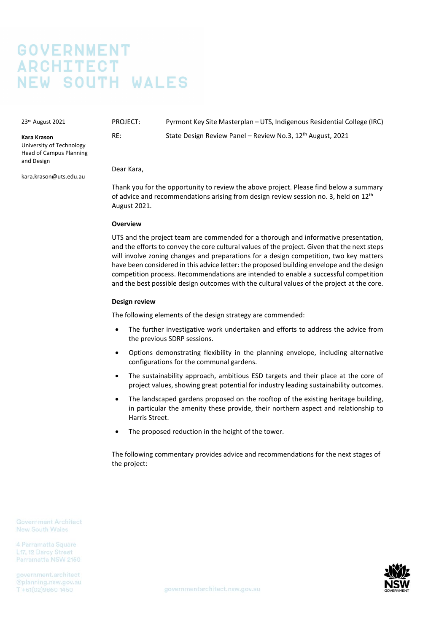# **GOVERNMENT ARCHITECT NEW SOUTH WALES**

23rd August 2021

**Kara Krason**

PROJECT: Pyrmont Key Site Masterplan – UTS, Indigenous Residential College (IRC) RE: State Design Review Panel – Review No.3, 12<sup>th</sup> August, 2021

University of Technology Head of Campus Planning and Design

kara.krason@uts.edu.au

Dear Kara,

Thank you for the opportunity to review the above project. Please find below a summary of advice and recommendations arising from design review session no. 3, held on 12<sup>th</sup> August 2021.

## **Overview**

UTS and the project team are commended for a thorough and informative presentation, and the efforts to convey the core cultural values of the project. Given that the next steps will involve zoning changes and preparations for a design competition, two key matters have been considered in this advice letter: the proposed building envelope and the design competition process. Recommendations are intended to enable a successful competition and the best possible design outcomes with the cultural values of the project at the core.

## **Design review**

The following elements of the design strategy are commended:

- The further investigative work undertaken and efforts to address the advice from the previous SDRP sessions.
- Options demonstrating flexibility in the planning envelope, including alternative configurations for the communal gardens.
- The sustainability approach, ambitious ESD targets and their place at the core of project values, showing great potential for industry leading sustainability outcomes.
- The landscaped gardens proposed on the rooftop of the existing heritage building, in particular the amenity these provide, their northern aspect and relationship to Harris Street.
- The proposed reduction in the height of the tower.

The following commentary provides advice and recommendations for the next stages of the project:

**Government Architect** New South Wales

4 Parramatta Square L17, 12 Darcy Street Parramatta NSW 2150

government.architect @planning.nsw.gov.au T+61(02)9860 1450

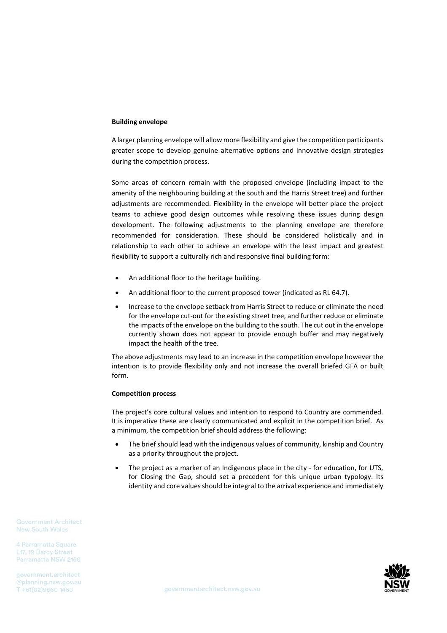#### **Building envelope**

A larger planning envelope will allow more flexibility and give the competition participants greater scope to develop genuine alternative options and innovative design strategies during the competition process.

Some areas of concern remain with the proposed envelope (including impact to the amenity of the neighbouring building at the south and the Harris Street tree) and further adjustments are recommended. Flexibility in the envelope will better place the project teams to achieve good design outcomes while resolving these issues during design development. The following adjustments to the planning envelope are therefore recommended for consideration. These should be considered holistically and in relationship to each other to achieve an envelope with the least impact and greatest flexibility to support a culturally rich and responsive final building form:

- An additional floor to the heritage building.
- An additional floor to the current proposed tower (indicated as RL 64.7).
- Increase to the envelope setback from Harris Street to reduce or eliminate the need for the envelope cut-out for the existing street tree, and further reduce or eliminate the impacts of the envelope on the building to the south. The cut out in the envelope currently shown does not appear to provide enough buffer and may negatively impact the health of the tree.

The above adjustments may lead to an increase in the competition envelope however the intention is to provide flexibility only and not increase the overall briefed GFA or built form.

#### **Competition process**

The project's core cultural values and intention to respond to Country are commended. It is imperative these are clearly communicated and explicit in the competition brief. As a minimum, the competition brief should address the following:

- The brief should lead with the indigenous values of community, kinship and Country as a priority throughout the project.
- The project as a marker of an Indigenous place in the city for education, for UTS, for Closing the Gap, should set a precedent for this unique urban typology. Its identity and core values should be integral to the arrival experience and immediately

**Government Architect New South Wales** 

4 Parramatta Square L17, 12 Darcy Street Parramatta NSW 2150

government.architect T+61(02)9860 1450

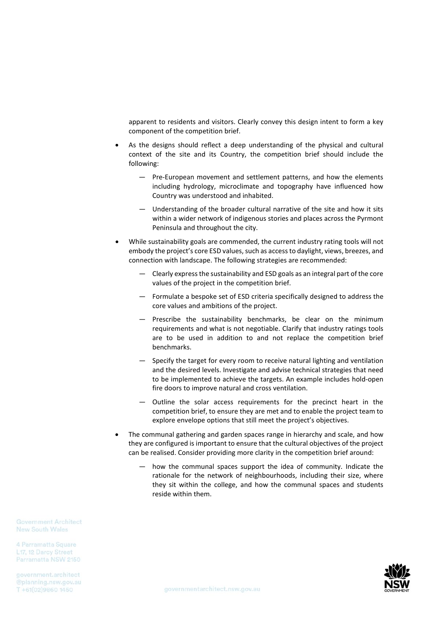apparent to residents and visitors. Clearly convey this design intent to form a key component of the competition brief.

- As the designs should reflect a deep understanding of the physical and cultural context of the site and its Country, the competition brief should include the following:
	- Pre-European movement and settlement patterns, and how the elements including hydrology, microclimate and topography have influenced how Country was understood and inhabited.
	- Understanding of the broader cultural narrative of the site and how it sits within a wider network of indigenous stories and places across the Pyrmont Peninsula and throughout the city.
- While sustainability goals are commended, the current industry rating tools will not embody the project's core ESD values, such as access to daylight, views, breezes, and connection with landscape. The following strategies are recommended:
	- Clearly expressthe sustainability and ESD goals as an integral part of the core values of the project in the competition brief.
	- Formulate a bespoke set of ESD criteria specifically designed to address the core values and ambitions of the project.
	- Prescribe the sustainability benchmarks, be clear on the minimum requirements and what is not negotiable. Clarify that industry ratings tools are to be used in addition to and not replace the competition brief benchmarks.
	- Specify the target for every room to receive natural lighting and ventilation and the desired levels. Investigate and advise technical strategies that need to be implemented to achieve the targets. An example includes hold-open fire doors to improve natural and cross ventilation.
	- Outline the solar access requirements for the precinct heart in the competition brief, to ensure they are met and to enable the project team to explore envelope options that still meet the project's objectives.
- The communal gathering and garden spaces range in hierarchy and scale, and how they are configured is important to ensure that the cultural objectives of the project can be realised. Consider providing more clarity in the competition brief around:
	- how the communal spaces support the idea of community. Indicate the rationale for the network of neighbourhoods, including their size, where they sit within the college, and how the communal spaces and students reside within them.

**Government Architect** New South Wales

4 Parramatta Square L17, 12 Darcy Street Parramatta NSW 2150

government.architect T+61(02)9860 1450

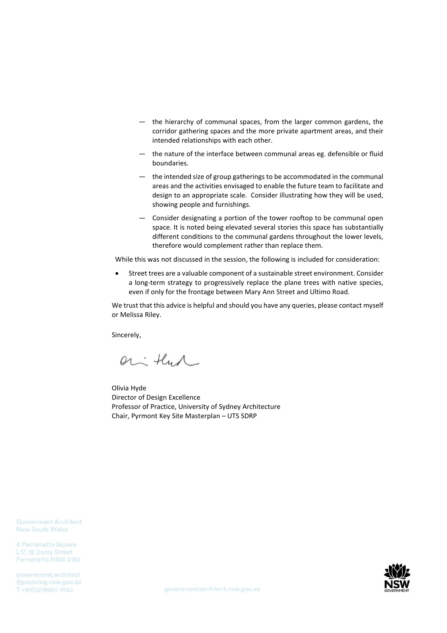- the hierarchy of communal spaces, from the larger common gardens, the corridor gathering spaces and the more private apartment areas, and their intended relationships with each other.
- the nature of the interface between communal areas eg. defensible or fluid boundaries.
- the intended size of group gatherings to be accommodated in the communal areas and the activities envisaged to enable the future team to facilitate and design to an appropriate scale. Consider illustrating how they will be used, showing people and furnishings.
- Consider designating a portion of the tower rooftop to be communal open space. It is noted being elevated several stories this space has substantially different conditions to the communal gardens throughout the lower levels, therefore would complement rather than replace them.

While this was not discussed in the session, the following is included for consideration:

• Street trees are a valuable component of a sustainable street environment. Consider a long-term strategy to progressively replace the plane trees with native species, even if only for the frontage between Mary Ann Street and Ultimo Road.

We trust that this advice is helpful and should you have any queries, please contact myself or Melissa Riley.

Sincerely,

or that

Olivia Hyde Director of Design Excellence Professor of Practice, University of Sydney Architecture Chair, Pyrmont Key Site Masterplan – UTS SDRP

**Government Architect** New South Wales

4 Parramatta Square L17, 12 Darcy Street Parramatta NSW 2150

government.architect @planning.nsw.gov.au T +61(02)9860 1450